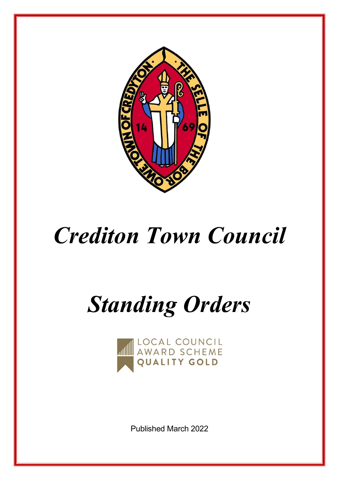

## *Crediton Town Council*

# *Standing Orders*



Published March 2022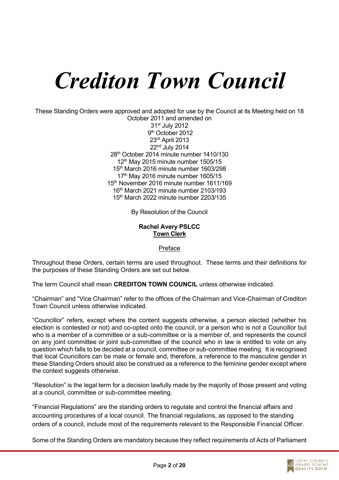## *Crediton Town Council*

These Standing Orders were approved and adopted for use by the Council at its Meeting held on 18 October 2011 and amended on

st July 2012 9<sup>th</sup> October 2012 rd April 2013 nd July 2014 th October 2014 minute number 1410/130  $12<sup>th</sup>$  May 2015 minute number 1505/15 th March 2016 minute number 1603/298  $17<sup>th</sup>$  May 2016 minute number 1605/15 th November 2016 minute number 1611/169 th March 2021 minute number 2103/193 th March 2022 minute number 2203/135

By Resolution of the Council

#### **Rachel Avery PSLCC Town Clerk**

#### Preface

Throughout these Orders, certain terms are used throughout. These terms and their definitions for the purposes of these Standing Orders are set out below.

The term Council shall mean **CREDITON TOWN COUNCIL** unless otherwise indicated.

"Chairman" and "Vice Chairman" refer to the offices of the Chairman and Vice-Chairman of Crediton Town Council unless otherwise indicated.

"Councillor" refers, except where the content suggests otherwise, a person elected (whether his election is contested or not) and co-opted onto the council, or a person who is not a Councillor but who is a member of a committee or a sub-committee or is a member of, and represents the council on any joint committee or joint sub-committee of the council who in law is entitled to vote on any question which falls to be decided at a council, committee or sub-committee meeting. It is recognised that local Councillors can be male or female and, therefore, a reference to the masculine gender in these Standing Orders should also be construed as a reference to the feminine gender except where the context suggests otherwise.

"Resolution" is the legal term for a decision lawfully made by the majority of those present and voting at a council, committee or sub-committee meeting.

"Financial Regulations" are the standing orders to regulate and control the financial affairs and accounting procedures of a local council. The financial regulations, as opposed to the standing orders of a council, include most of the requirements relevant to the Responsible Financial Officer.

Some of the Standing Orders are mandatory because they reflect requirements of Acts of Parliament

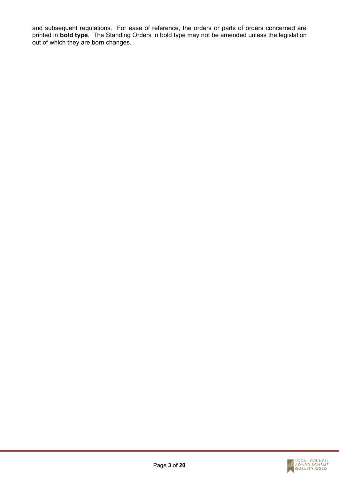and subsequent regulations. For ease of reference, the orders or parts of orders concerned are printed in **bold type**. The Standing Orders in bold type may not be amended unless the legislation out of which they are born changes.

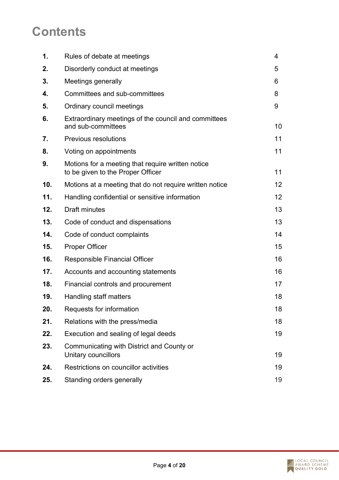## **Contents**

| 1.  | Rules of debate at meetings                                                            | 4  |
|-----|----------------------------------------------------------------------------------------|----|
| 2.  | Disorderly conduct at meetings                                                         | 5  |
| 3.  | Meetings generally                                                                     | 6  |
| 4.  | Committees and sub-committees                                                          | 8  |
| 5.  | Ordinary council meetings                                                              | 9  |
| 6.  | Extraordinary meetings of the council and committees<br>and sub-committees             | 10 |
| 7.  | <b>Previous resolutions</b>                                                            | 11 |
| 8.  | Voting on appointments                                                                 | 11 |
| 9.  | Motions for a meeting that require written notice<br>to be given to the Proper Officer | 11 |
| 10. | Motions at a meeting that do not require written notice                                | 12 |
| 11. | Handling confidential or sensitive information                                         | 12 |
| 12. | <b>Draft minutes</b>                                                                   | 13 |
| 13. | Code of conduct and dispensations                                                      | 13 |
| 14. | Code of conduct complaints                                                             | 14 |
| 15. | <b>Proper Officer</b>                                                                  | 15 |
| 16. | <b>Responsible Financial Officer</b>                                                   | 16 |
| 17. | Accounts and accounting statements                                                     | 16 |
| 18. | Financial controls and procurement                                                     | 17 |
| 19. | Handling staff matters                                                                 | 18 |
| 20. | Requests for information                                                               | 18 |
| 21. | Relations with the press/media                                                         | 18 |
| 22. | Execution and sealing of legal deeds                                                   | 19 |
| 23. | Communicating with District and County or<br>Unitary councillors                       | 19 |
| 24. | Restrictions on councillor activities                                                  | 19 |
| 25. | Standing orders generally                                                              | 19 |

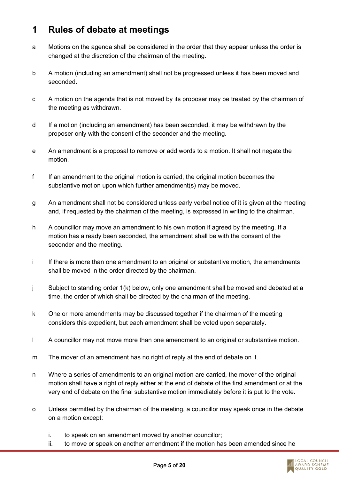#### **1 Rules of debate at meetings**

- a Motions on the agenda shall be considered in the order that they appear unless the order is changed at the discretion of the chairman of the meeting.
- b A motion (including an amendment) shall not be progressed unless it has been moved and seconded.
- c A motion on the agenda that is not moved by its proposer may be treated by the chairman of the meeting as withdrawn.
- d If a motion (including an amendment) has been seconded, it may be withdrawn by the proposer only with the consent of the seconder and the meeting.
- e An amendment is a proposal to remove or add words to a motion. It shall not negate the motion.
- f If an amendment to the original motion is carried, the original motion becomes the substantive motion upon which further amendment(s) may be moved.
- g An amendment shall not be considered unless early verbal notice of it is given at the meeting and, if requested by the chairman of the meeting, is expressed in writing to the chairman.
- h A councillor may move an amendment to his own motion if agreed by the meeting. If a motion has already been seconded, the amendment shall be with the consent of the seconder and the meeting.
- i If there is more than one amendment to an original or substantive motion, the amendments shall be moved in the order directed by the chairman.
- j Subject to standing order 1(k) below, only one amendment shall be moved and debated at a time, the order of which shall be directed by the chairman of the meeting.
- k One or more amendments may be discussed together if the chairman of the meeting considers this expedient, but each amendment shall be voted upon separately.
- l A councillor may not move more than one amendment to an original or substantive motion.
- m The mover of an amendment has no right of reply at the end of debate on it.
- n Where a series of amendments to an original motion are carried, the mover of the original motion shall have a right of reply either at the end of debate of the first amendment or at the very end of debate on the final substantive motion immediately before it is put to the vote.
- o Unless permitted by the chairman of the meeting, a councillor may speak once in the debate on a motion except:
	- i. to speak on an amendment moved by another councillor;
	- ii. to move or speak on another amendment if the motion has been amended since he

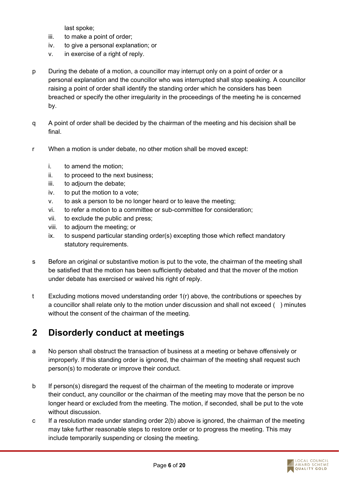last spoke;

- iii. to make a point of order;
- iv. to give a personal explanation; or
- v. in exercise of a right of reply.
- p During the debate of a motion, a councillor may interrupt only on a point of order or a personal explanation and the councillor who was interrupted shall stop speaking. A councillor raising a point of order shall identify the standing order which he considers has been breached or specify the other irregularity in the proceedings of the meeting he is concerned by.
- q A point of order shall be decided by the chairman of the meeting and his decision shall be final.
- r When a motion is under debate, no other motion shall be moved except:
	- i. to amend the motion;
	- ii. to proceed to the next business;
	- iii. to adjourn the debate;
	- iv. to put the motion to a vote;
	- v. to ask a person to be no longer heard or to leave the meeting;
	- vi. to refer a motion to a committee or sub-committee for consideration;
	- vii. to exclude the public and press;
	- viii. to adjourn the meeting; or
	- ix. to suspend particular standing order(s) excepting those which reflect mandatory statutory requirements.
- s Before an original or substantive motion is put to the vote, the chairman of the meeting shall be satisfied that the motion has been sufficiently debated and that the mover of the motion under debate has exercised or waived his right of reply.
- t Excluding motions moved understanding order 1(r) above, the contributions or speeches by a councillor shall relate only to the motion under discussion and shall not exceed ( ) minutes without the consent of the chairman of the meeting.

#### **2 Disorderly conduct at meetings**

- a No person shall obstruct the transaction of business at a meeting or behave offensively or improperly. If this standing order is ignored, the chairman of the meeting shall request such person(s) to moderate or improve their conduct.
- b If person(s) disregard the request of the chairman of the meeting to moderate or improve their conduct, any councillor or the chairman of the meeting may move that the person be no longer heard or excluded from the meeting. The motion, if seconded, shall be put to the vote without discussion.
- c If a resolution made under standing order 2(b) above is ignored, the chairman of the meeting may take further reasonable steps to restore order or to progress the meeting. This may include temporarily suspending or closing the meeting.

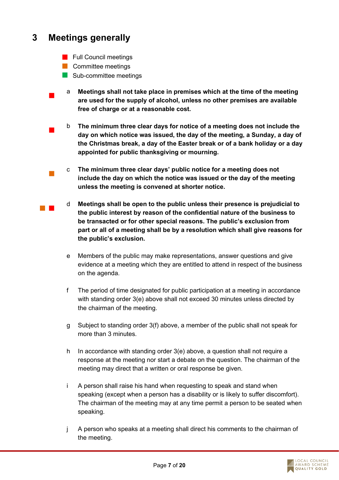#### **3 Meetings generally**

 $\mathcal{L}_{\mathcal{A}}$ 

- **Full Council meetings**
- **Committee meetings**
- Sub-committee meetings
- a **Meetings shall not take place in premises which at the time of the meeting are used for the supply of alcohol, unless no other premises are available free of charge or at a reasonable cost.**
- $\overline{\phantom{a}}$ b **The minimum three clear days for notice of a meeting does not include the day on which notice was issued, the day of the meeting, a Sunday, a day of the Christmas break, a day of the Easter break or of a bank holiday or a day appointed for public thanksgiving or mourning.**
- $\mathcal{L}_{\mathcal{A}}$ c **The minimum three clear days' public notice for a meeting does not include the day on which the notice was issued or the day of the meeting unless the meeting is convened at shorter notice.**
- $\mathcal{L}_{\text{max}}$ d **Meetings shall be open to the public unless their presence is prejudicial to the public interest by reason of the confidential nature of the business to be transacted or for other special reasons. The public's exclusion from part or all of a meeting shall be by a resolution which shall give reasons for the public's exclusion.**
	- e Members of the public may make representations, answer questions and give evidence at a meeting which they are entitled to attend in respect of the business on the agenda.
	- f The period of time designated for public participation at a meeting in accordance with standing order 3(e) above shall not exceed 30 minutes unless directed by the chairman of the meeting.
	- g Subject to standing order 3(f) above, a member of the public shall not speak for more than 3 minutes.
	- h In accordance with standing order 3(e) above, a question shall not require a response at the meeting nor start a debate on the question. The chairman of the meeting may direct that a written or oral response be given.
	- i A person shall raise his hand when requesting to speak and stand when speaking (except when a person has a disability or is likely to suffer discomfort). The chairman of the meeting may at any time permit a person to be seated when speaking.
	- j A person who speaks at a meeting shall direct his comments to the chairman of the meeting.

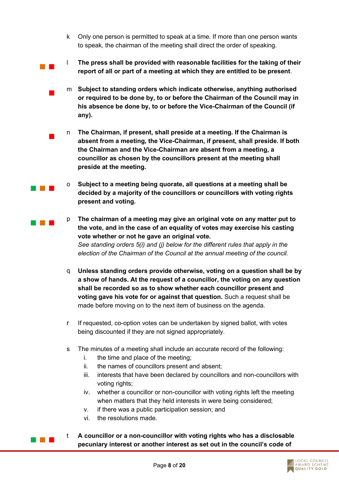- k Only one person is permitted to speak at a time. If more than one person wants to speak, the chairman of the meeting shall direct the order of speaking.
- l **The press shall be provided with reasonable facilities for the taking of their report of all or part of a meeting at which they are entitled to be present**.
- m **Subject to standing orders which indicate otherwise, anything authorised or required to be done by, to or before the Chairman of the Council may in his absence be done by, to or before the Vice-Chairman of the Council (if any).**
	- n **The Chairman, if present, shall preside at a meeting. If the Chairman is absent from a meeting, the Vice-Chairman, if present, shall preside. If both the Chairman and the Vice-Chairman are absent from a meeting, a councillor as chosen by the councillors present at the meeting shall preside at the meeting.**
	- o **Subject to a meeting being quorate, all questions at a meeting shall be decided by a majority of the councillors or councillors with voting rights present and voting.**
	- p **The chairman of a meeting may give an original vote on any matter put to the vote, and in the case of an equality of votes may exercise his casting vote whether or not he gave an original vote.** *See standing orders 5(i) and (j) below for the different rules that apply in the election of the Chairman of the Council at the annual meeting of the council.*
	- q **Unless standing orders provide otherwise, voting on a question shall be by a show of hands. At the request of a councillor, the voting on any question shall be recorded so as to show whether each councillor present and voting gave his vote for or against that question.** Such a request shall be made before moving on to the next item of business on the agenda.
	- r If requested, co-option votes can be undertaken by signed ballot, with votes being discounted if they are not signed appropriately.
	- s The minutes of a meeting shall include an accurate record of the following:
		- i. the time and place of the meeting;
		- ii. the names of councillors present and absent;
		- iii. interests that have been declared by councillors and non-councillors with voting rights;
		- iv. whether a councillor or non-councillor with voting rights left the meeting when matters that they held interests in were being considered;
		- v. if there was a public participation session; and
		- vi. the resolutions made.

a na ka

 $\mathcal{L}_{\mathcal{A}}$ 

 $\overline{\phantom{a}}$ 

a na m

 $\sim 10^{-1}$ 

t **A councillor or a non-councillor with voting rights who has a disclosable pecuniary interest or another interest as set out in the council's code of** 

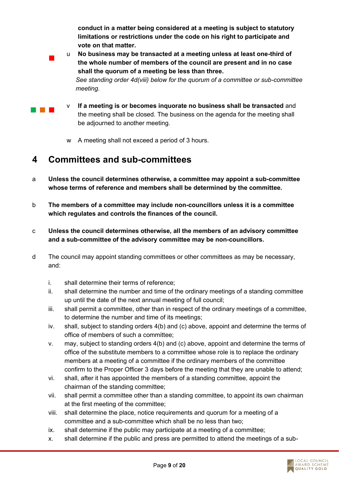**conduct in a matter being considered at a meeting is subject to statutory limitations or restrictions under the code on his right to participate and vote on that matter.**

- u **No business may be transacted at a meeting unless at least one-third of the whole number of members of the council are present and in no case shall the quorum of a meeting be less than three.** *See standing order 4d(viii) below for the quorum of a committee or sub-committee meeting.*
- **The Contract**

 $\mathcal{L}_{\mathcal{A}}$ 

- v **If a meeting is or becomes inquorate no business shall be transacted** and the meeting shall be closed. The business on the agenda for the meeting shall be adjourned to another meeting.
- w A meeting shall not exceed a period of 3 hours.

### **4 Committees and sub-committees**

- a **Unless the council determines otherwise, a committee may appoint a sub-committee whose terms of reference and members shall be determined by the committee.**
- b **The members of a committee may include non-councillors unless it is a committee which regulates and controls the finances of the council.**
- c **Unless the council determines otherwise, all the members of an advisory committee and a sub-committee of the advisory committee may be non-councillors.**
- d The council may appoint standing committees or other committees as may be necessary, and:
	- i. shall determine their terms of reference;
	- ii. shall determine the number and time of the ordinary meetings of a standing committee up until the date of the next annual meeting of full council;
	- iii. shall permit a committee, other than in respect of the ordinary meetings of a committee, to determine the number and time of its meetings;
	- iv. shall, subject to standing orders 4(b) and (c) above, appoint and determine the terms of office of members of such a committee;
	- v. may, subject to standing orders 4(b) and (c) above, appoint and determine the terms of office of the substitute members to a committee whose role is to replace the ordinary members at a meeting of a committee if the ordinary members of the committee confirm to the Proper Officer 3 days before the meeting that they are unable to attend;
	- vi. shall, after it has appointed the members of a standing committee, appoint the chairman of the standing committee;
	- vii. shall permit a committee other than a standing committee, to appoint its own chairman at the first meeting of the committee;
	- viii. shall determine the place, notice requirements and quorum for a meeting of a committee and a sub-committee which shall be no less than two;
	- ix. shall determine if the public may participate at a meeting of a committee;
	- x. shall determine if the public and press are permitted to attend the meetings of a sub-

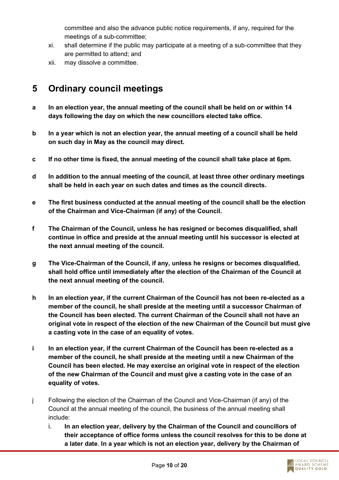committee and also the advance public notice requirements, if any, required for the meetings of a sub-committee;

- xi. shall determine if the public may participate at a meeting of a sub-committee that they are permitted to attend; and
- xii. may dissolve a committee.

#### **5 Ordinary council meetings**

- **a In an election year, the annual meeting of the council shall be held on or within 14 days following the day on which the new councillors elected take office.**
- **b In a year which is not an election year, the annual meeting of a council shall be held on such day in May as the council may direct.**
- **c If no other time is fixed, the annual meeting of the council shall take place at 6pm.**
- **d In addition to the annual meeting of the council, at least three other ordinary meetings shall be held in each year on such dates and times as the council directs.**
- **e The first business conducted at the annual meeting of the council shall be the election of the Chairman and Vice-Chairman (if any) of the Council.**
- **f The Chairman of the Council, unless he has resigned or becomes disqualified, shall continue in office and preside at the annual meeting until his successor is elected at the next annual meeting of the council.**
- **g The Vice-Chairman of the Council, if any, unless he resigns or becomes disqualified, shall hold office until immediately after the election of the Chairman of the Council at the next annual meeting of the council.**
- **h In an election year, if the current Chairman of the Council has not been re-elected as a member of the council, he shall preside at the meeting until a successor Chairman of the Council has been elected. The current Chairman of the Council shall not have an original vote in respect of the election of the new Chairman of the Council but must give a casting vote in the case of an equality of votes.**
- **i In an election year, if the current Chairman of the Council has been re-elected as a member of the council, he shall preside at the meeting until a new Chairman of the Council has been elected. He may exercise an original vote in respect of the election of the new Chairman of the Council and must give a casting vote in the case of an equality of votes.**
- j Following the election of the Chairman of the Council and Vice-Chairman (if any) of the Council at the annual meeting of the council, the business of the annual meeting shall include:
	- i. **In an election year, delivery by the Chairman of the Council and councillors of their acceptance of office forms unless the council resolves for this to be done at a later date**. **In a year which is not an election year, delivery by the Chairman of**

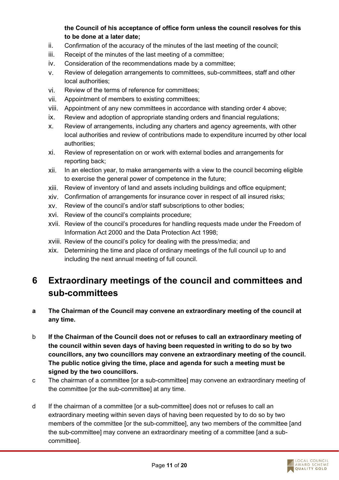#### **the Council of his acceptance of office form unless the council resolves for this to be done at a later date;**

- ii. Confirmation of the accuracy of the minutes of the last meeting of the council;
- iii. Receipt of the minutes of the last meeting of a committee;
- iv. Consideration of the recommendations made by a committee;
- v. Review of delegation arrangements to committees, sub-committees, staff and other local authorities;
- vi. Review of the terms of reference for committees;
- vii. Appointment of members to existing committees;
- viii. Appointment of any new committees in accordance with standing order 4 above;
- ix. Review and adoption of appropriate standing orders and financial regulations;
- x. Review of arrangements, including any charters and agency agreements, with other local authorities and review of contributions made to expenditure incurred by other local authorities;
- xi. Review of representation on or work with external bodies and arrangements for reporting back;
- xii. In an election year, to make arrangements with a view to the council becoming eligible to exercise the general power of competence in the future;
- xiii. Review of inventory of land and assets including buildings and office equipment;
- xiv. Confirmation of arrangements for insurance cover in respect of all insured risks;
- xv. Review of the council's and/or staff subscriptions to other bodies;
- xvi. Review of the council's complaints procedure;
- xvii. Review of the council's procedures for handling requests made under the Freedom of Information Act 2000 and the Data Protection Act 1998;
- xviii. Review of the council's policy for dealing with the press/media; and
- xix. Determining the time and place of ordinary meetings of the full council up to and including the next annual meeting of full council.

### **6 Extraordinary meetings of the council and committees and sub-committees**

- **a The Chairman of the Council may convene an extraordinary meeting of the council at any time.**
- b **If the Chairman of the Council does not or refuses to call an extraordinary meeting of the council within seven days of having been requested in writing to do so by two councillors, any two councillors may convene an extraordinary meeting of the council. The public notice giving the time, place and agenda for such a meeting must be signed by the two councillors.**
- c The chairman of a committee [or a sub-committee] may convene an extraordinary meeting of the committee [or the sub-committee] at any time.
- d If the chairman of a committee [or a sub-committee] does not or refuses to call an extraordinary meeting within seven days of having been requested by to do so by two members of the committee [or the sub-committee], any two members of the committee [and the sub-committee] may convene an extraordinary meeting of a committee [and a subcommittee].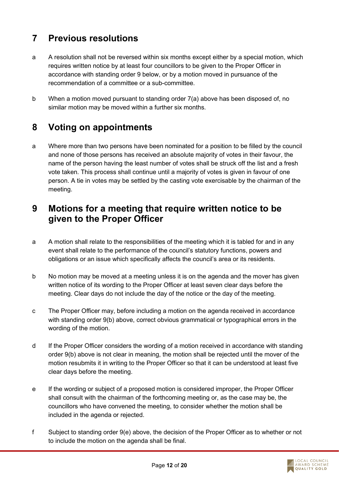#### **7 Previous resolutions**

- a A resolution shall not be reversed within six months except either by a special motion, which requires written notice by at least four councillors to be given to the Proper Officer in accordance with standing order 9 below, or by a motion moved in pursuance of the recommendation of a committee or a sub-committee.
- b When a motion moved pursuant to standing order 7(a) above has been disposed of, no similar motion may be moved within a further six months.

#### **8 Voting on appointments**

a Where more than two persons have been nominated for a position to be filled by the council and none of those persons has received an absolute majority of votes in their favour, the name of the person having the least number of votes shall be struck off the list and a fresh vote taken. This process shall continue until a majority of votes is given in favour of one person. A tie in votes may be settled by the casting vote exercisable by the chairman of the meeting.

#### **9 Motions for a meeting that require written notice to be given to the Proper Officer**

- a A motion shall relate to the responsibilities of the meeting which it is tabled for and in any event shall relate to the performance of the council's statutory functions, powers and obligations or an issue which specifically affects the council's area or its residents.
- b No motion may be moved at a meeting unless it is on the agenda and the mover has given written notice of its wording to the Proper Officer at least seven clear days before the meeting. Clear days do not include the day of the notice or the day of the meeting.
- c The Proper Officer may, before including a motion on the agenda received in accordance with standing order 9(b) above, correct obvious grammatical or typographical errors in the wording of the motion.
- d If the Proper Officer considers the wording of a motion received in accordance with standing order 9(b) above is not clear in meaning, the motion shall be rejected until the mover of the motion resubmits it in writing to the Proper Officer so that it can be understood at least five clear days before the meeting.
- e If the wording or subject of a proposed motion is considered improper, the Proper Officer shall consult with the chairman of the forthcoming meeting or, as the case may be, the councillors who have convened the meeting, to consider whether the motion shall be included in the agenda or rejected.
- f Subject to standing order 9(e) above, the decision of the Proper Officer as to whether or not to include the motion on the agenda shall be final.

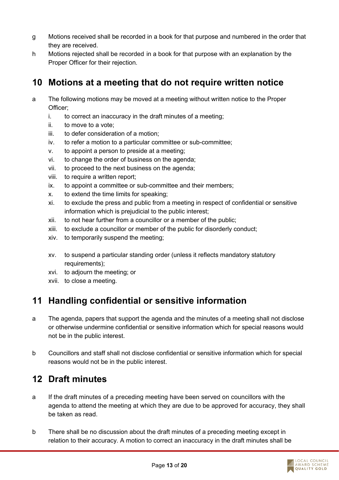- g Motions received shall be recorded in a book for that purpose and numbered in the order that they are received.
- h Motions rejected shall be recorded in a book for that purpose with an explanation by the Proper Officer for their rejection.

#### **10 Motions at a meeting that do not require written notice**

- a The following motions may be moved at a meeting without written notice to the Proper Officer;
	- i. to correct an inaccuracy in the draft minutes of a meeting;
	- ii. to move to a vote;
	- iii. to defer consideration of a motion;
	- iv. to refer a motion to a particular committee or sub-committee;
	- v. to appoint a person to preside at a meeting;
	- vi. to change the order of business on the agenda;
	- vii. to proceed to the next business on the agenda;
	- viii. to require a written report;
	- ix. to appoint a committee or sub-committee and their members;
	- x. to extend the time limits for speaking;
	- xi. to exclude the press and public from a meeting in respect of confidential or sensitive information which is prejudicial to the public interest;
	- xii. to not hear further from a councillor or a member of the public;
	- xiii. to exclude a councillor or member of the public for disorderly conduct;
	- xiv. to temporarily suspend the meeting;
	- xv. to suspend a particular standing order (unless it reflects mandatory statutory requirements);
	- xvi. to adjourn the meeting; or
	- xvii. to close a meeting.

#### **11 Handling confidential or sensitive information**

- a The agenda, papers that support the agenda and the minutes of a meeting shall not disclose or otherwise undermine confidential or sensitive information which for special reasons would not be in the public interest.
- b Councillors and staff shall not disclose confidential or sensitive information which for special reasons would not be in the public interest.

#### **12 Draft minutes**

- a If the draft minutes of a preceding meeting have been served on councillors with the agenda to attend the meeting at which they are due to be approved for accuracy, they shall be taken as read.
- b There shall be no discussion about the draft minutes of a preceding meeting except in relation to their accuracy. A motion to correct an inaccuracy in the draft minutes shall be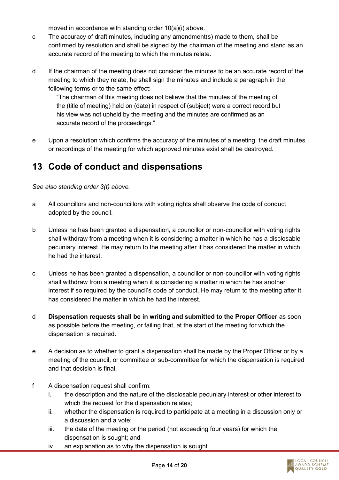moved in accordance with standing order 10(a)(i) above.

- c The accuracy of draft minutes, including any amendment(s) made to them, shall be confirmed by resolution and shall be signed by the chairman of the meeting and stand as an accurate record of the meeting to which the minutes relate.
- d If the chairman of the meeting does not consider the minutes to be an accurate record of the meeting to which they relate, he shall sign the minutes and include a paragraph in the following terms or to the same effect:

"The chairman of this meeting does not believe that the minutes of the meeting of the (title of meeting) held on (date) in respect of (subject) were a correct record but his view was not upheld by the meeting and the minutes are confirmed as an accurate record of the proceedings."

e Upon a resolution which confirms the accuracy of the minutes of a meeting, the draft minutes or recordings of the meeting for which approved minutes exist shall be destroyed.

#### **13 Code of conduct and dispensations**

*See also standing order 3(t) above.* 

- a All councillors and non-councillors with voting rights shall observe the code of conduct adopted by the council.
- b Unless he has been granted a dispensation, a councillor or non-councillor with voting rights shall withdraw from a meeting when it is considering a matter in which he has a disclosable pecuniary interest. He may return to the meeting after it has considered the matter in which he had the interest.
- c Unless he has been granted a dispensation, a councillor or non-councillor with voting rights shall withdraw from a meeting when it is considering a matter in which he has another interest if so required by the council's code of conduct. He may return to the meeting after it has considered the matter in which he had the interest.
- d **Dispensation requests shall be in writing and submitted to the Proper Officer** as soon as possible before the meeting, or failing that, at the start of the meeting for which the dispensation is required.
- e A decision as to whether to grant a dispensation shall be made by the Proper Officer or by a meeting of the council, or committee or sub-committee for which the dispensation is required and that decision is final.
- f A dispensation request shall confirm:
	- i. the description and the nature of the disclosable pecuniary interest or other interest to which the request for the dispensation relates:
	- ii. whether the dispensation is required to participate at a meeting in a discussion only or a discussion and a vote;
	- iii. the date of the meeting or the period (not exceeding four years) for which the dispensation is sought; and
	- iv. an explanation as to why the dispensation is sought.

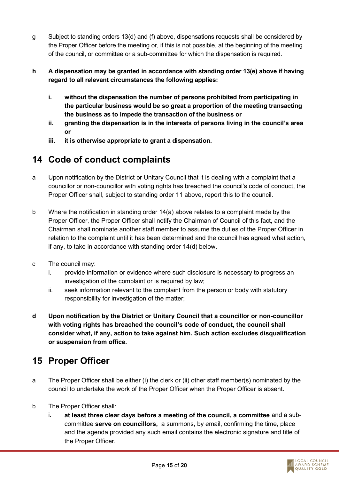- g Subject to standing orders 13(d) and (f) above, dispensations requests shall be considered by the Proper Officer before the meeting or, if this is not possible, at the beginning of the meeting of the council, or committee or a sub-committee for which the dispensation is required.
- **h A dispensation may be granted in accordance with standing order 13(e) above if having regard to all relevant circumstances the following applies:**
	- **i. without the dispensation the number of persons prohibited from participating in the particular business would be so great a proportion of the meeting transacting the business as to impede the transaction of the business or**
	- **ii. granting the dispensation is in the interests of persons living in the council's area or**
	- **iii. it is otherwise appropriate to grant a dispensation.**

### **14 Code of conduct complaints**

- a Upon notification by the District or Unitary Council that it is dealing with a complaint that a councillor or non-councillor with voting rights has breached the council's code of conduct, the Proper Officer shall, subject to standing order 11 above, report this to the council.
- b Where the notification in standing order 14(a) above relates to a complaint made by the Proper Officer, the Proper Officer shall notify the Chairman of Council of this fact, and the Chairman shall nominate another staff member to assume the duties of the Proper Officer in relation to the complaint until it has been determined and the council has agreed what action, if any, to take in accordance with standing order 14(d) below.
- c The council may:
	- i. provide information or evidence where such disclosure is necessary to progress an investigation of the complaint or is required by law;
	- ii. seek information relevant to the complaint from the person or body with statutory responsibility for investigation of the matter;
- **d Upon notification by the District or Unitary Council that a councillor or non-councillor with voting rights has breached the council's code of conduct, the council shall consider what, if any, action to take against him. Such action excludes disqualification or suspension from office.**

### **15 Proper Officer**

- a The Proper Officer shall be either (i) the clerk or (ii) other staff member(s) nominated by the council to undertake the work of the Proper Officer when the Proper Officer is absent.
- b The Proper Officer shall:
	- i. **at least three clear days before a meeting of the council, a committee** and a subcommittee **serve on councillors,** a summons, by email, confirming the time, place and the agenda provided any such email contains the electronic signature and title of the Proper Officer.

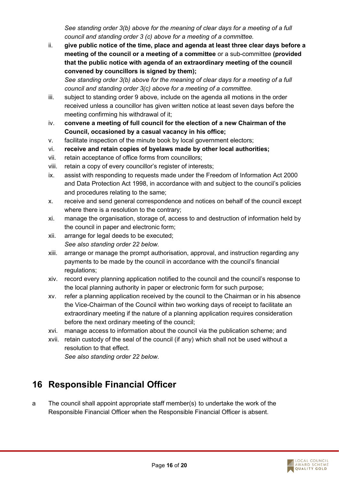*See standing order 3(b) above for the meaning of clear days for a meeting of a full council and standing order 3 (c) above for a meeting of a committee.*

ii. **give public notice of the time, place and agenda at least three clear days before a meeting of the council or a meeting of a committee** or a sub-committee **(provided that the public notice with agenda of an extraordinary meeting of the council convened by councillors is signed by them);**

*See standing order 3(b) above for the meaning of clear days for a meeting of a full council and standing order 3(c) above for a meeting of a committee.*

- iii. subject to standing order 9 above, include on the agenda all motions in the order received unless a councillor has given written notice at least seven days before the meeting confirming his withdrawal of it;
- iv. **convene a meeting of full council for the election of a new Chairman of the Council, occasioned by a casual vacancy in his office;**
- v. facilitate inspection of the minute book by local government electors;
- vi. **receive and retain copies of byelaws made by other local authorities;**
- vii. retain acceptance of office forms from councillors;
- viii. retain a copy of every councillor's register of interests;
- ix. assist with responding to requests made under the Freedom of Information Act 2000 and Data Protection Act 1998, in accordance with and subject to the council's policies and procedures relating to the same;
- x. receive and send general correspondence and notices on behalf of the council except where there is a resolution to the contrary;
- xi. manage the organisation, storage of, access to and destruction of information held by the council in paper and electronic form;
- xii. arrange for legal deeds to be executed; *See also standing order 22 below.*
- xiii. arrange or manage the prompt authorisation, approval, and instruction regarding any payments to be made by the council in accordance with the council's financial regulations;
- xiv. record every planning application notified to the council and the council's response to the local planning authority in paper or electronic form for such purpose;
- xv. refer a planning application received by the council to the Chairman or in his absence the Vice-Chairman of the Council within two working days of receipt to facilitate an extraordinary meeting if the nature of a planning application requires consideration before the next ordinary meeting of the council;
- xvi. manage access to information about the council via the publication scheme; and
- xvii. retain custody of the seal of the council (if any) which shall not be used without a resolution to that effect.

*See also standing order 22 below.*

#### **16 Responsible Financial Officer**

a The council shall appoint appropriate staff member(s) to undertake the work of the Responsible Financial Officer when the Responsible Financial Officer is absent.

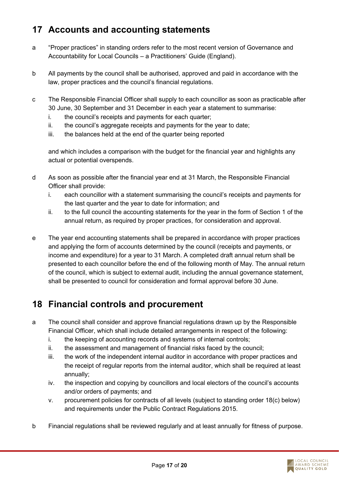### **17 Accounts and accounting statements**

- a "Proper practices" in standing orders refer to the most recent version of Governance and Accountability for Local Councils – a Practitioners' Guide (England).
- b All payments by the council shall be authorised, approved and paid in accordance with the law, proper practices and the council's financial regulations.
- c The Responsible Financial Officer shall supply to each councillor as soon as practicable after 30 June, 30 September and 31 December in each year a statement to summarise:
	- i. the council's receipts and payments for each quarter;
	- ii. the council's aggregate receipts and payments for the year to date;
	- iii. the balances held at the end of the quarter being reported

and which includes a comparison with the budget for the financial year and highlights any actual or potential overspends.

- d As soon as possible after the financial year end at 31 March, the Responsible Financial Officer shall provide:
	- i. each councillor with a statement summarising the council's receipts and payments for the last quarter and the year to date for information; and
	- ii. to the full council the accounting statements for the year in the form of Section 1 of the annual return, as required by proper practices, for consideration and approval.
- e The year end accounting statements shall be prepared in accordance with proper practices and applying the form of accounts determined by the council (receipts and payments, or income and expenditure) for a year to 31 March. A completed draft annual return shall be presented to each councillor before the end of the following month of May. The annual return of the council, which is subject to external audit, including the annual governance statement, shall be presented to council for consideration and formal approval before 30 June.

#### **18 Financial controls and procurement**

- a The council shall consider and approve financial regulations drawn up by the Responsible Financial Officer, which shall include detailed arrangements in respect of the following:
	- i. the keeping of accounting records and systems of internal controls;
	- ii. the assessment and management of financial risks faced by the council;
	- iii. the work of the independent internal auditor in accordance with proper practices and the receipt of regular reports from the internal auditor, which shall be required at least annually;
	- iv. the inspection and copying by councillors and local electors of the council's accounts and/or orders of payments; and
	- v. procurement policies for contracts of all levels (subject to standing order 18(c) below) and requirements under the Public Contract Regulations 2015.
- b Financial regulations shall be reviewed regularly and at least annually for fitness of purpose.

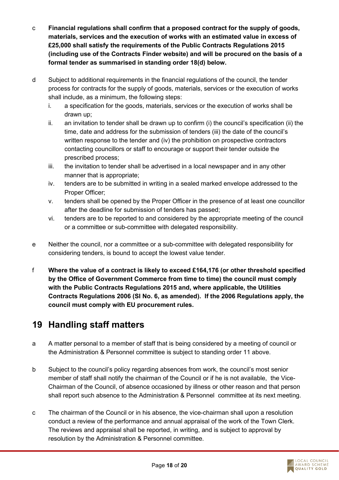- c **Financial regulations shall confirm that a proposed contract for the supply of goods, materials, services and the execution of works with an estimated value in excess of £25,000 shall satisfy the requirements of the Public Contracts Regulations 2015 (including use of the Contracts Finder website) and will be procured on the basis of a formal tender as summarised in standing order 18(d) below.**
- d Subject to additional requirements in the financial regulations of the council, the tender process for contracts for the supply of goods, materials, services or the execution of works shall include, as a minimum, the following steps:
	- i. a specification for the goods, materials, services or the execution of works shall be drawn up;
	- ii. an invitation to tender shall be drawn up to confirm (i) the council's specification (ii) the time, date and address for the submission of tenders (iii) the date of the council's written response to the tender and (iv) the prohibition on prospective contractors contacting councillors or staff to encourage or support their tender outside the prescribed process;
	- iii. the invitation to tender shall be advertised in a local newspaper and in any other manner that is appropriate;
	- iv. tenders are to be submitted in writing in a sealed marked envelope addressed to the Proper Officer;
	- v. tenders shall be opened by the Proper Officer in the presence of at least one councillor after the deadline for submission of tenders has passed;
	- vi. tenders are to be reported to and considered by the appropriate meeting of the council or a committee or sub-committee with delegated responsibility.
- e Neither the council, nor a committee or a sub-committee with delegated responsibility for considering tenders, is bound to accept the lowest value tender.
- f **Where the value of a contract is likely to exceed £164,176 (or other threshold specified by the Office of Government Commerce from time to time) the council must comply with the Public Contracts Regulations 2015 and, where applicable, the Utilities Contracts Regulations 2006 (SI No. 6, as amended). If the 2006 Regulations apply, the council must comply with EU procurement rules.**

#### **19 Handling staff matters**

- a A matter personal to a member of staff that is being considered by a meeting of council or the Administration & Personnel committee is subject to standing order 11 above.
- b Subject to the council's policy regarding absences from work, the council's most senior member of staff shall notify the chairman of the Council or if he is not available, the Vice-Chairman of the Council, of absence occasioned by illness or other reason and that person shall report such absence to the Administration & Personnel committee at its next meeting.
- c The chairman of the Council or in his absence, the vice-chairman shall upon a resolution conduct a review of the performance and annual appraisal of the work of the Town Clerk. The reviews and appraisal shall be reported, in writing, and is subject to approval by resolution by the Administration & Personnel committee.

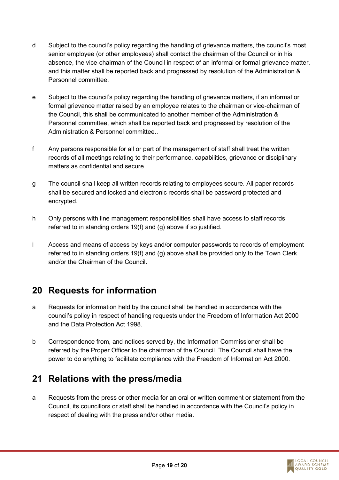- d Subject to the council's policy regarding the handling of grievance matters, the council's most senior employee (or other employees) shall contact the chairman of the Council or in his absence, the vice-chairman of the Council in respect of an informal or formal grievance matter, and this matter shall be reported back and progressed by resolution of the Administration & Personnel committee.
- e Subject to the council's policy regarding the handling of grievance matters, if an informal or formal grievance matter raised by an employee relates to the chairman or vice-chairman of the Council, this shall be communicated to another member of the Administration & Personnel committee, which shall be reported back and progressed by resolution of the Administration & Personnel committee..
- f Any persons responsible for all or part of the management of staff shall treat the written records of all meetings relating to their performance, capabilities, grievance or disciplinary matters as confidential and secure.
- g The council shall keep all written records relating to employees secure. All paper records shall be secured and locked and electronic records shall be password protected and encrypted.
- h Only persons with line management responsibilities shall have access to staff records referred to in standing orders 19(f) and (g) above if so justified.
- i Access and means of access by keys and/or computer passwords to records of employment referred to in standing orders 19(f) and (g) above shall be provided only to the Town Clerk and/or the Chairman of the Council.

#### **20 Requests for information**

- a Requests for information held by the council shall be handled in accordance with the council's policy in respect of handling requests under the Freedom of Information Act 2000 and the Data Protection Act 1998.
- b Correspondence from, and notices served by, the Information Commissioner shall be referred by the Proper Officer to the chairman of the Council. The Council shall have the power to do anything to facilitate compliance with the Freedom of Information Act 2000.

#### **21 Relations with the press/media**

a Requests from the press or other media for an oral or written comment or statement from the Council, its councillors or staff shall be handled in accordance with the Council's policy in respect of dealing with the press and/or other media.